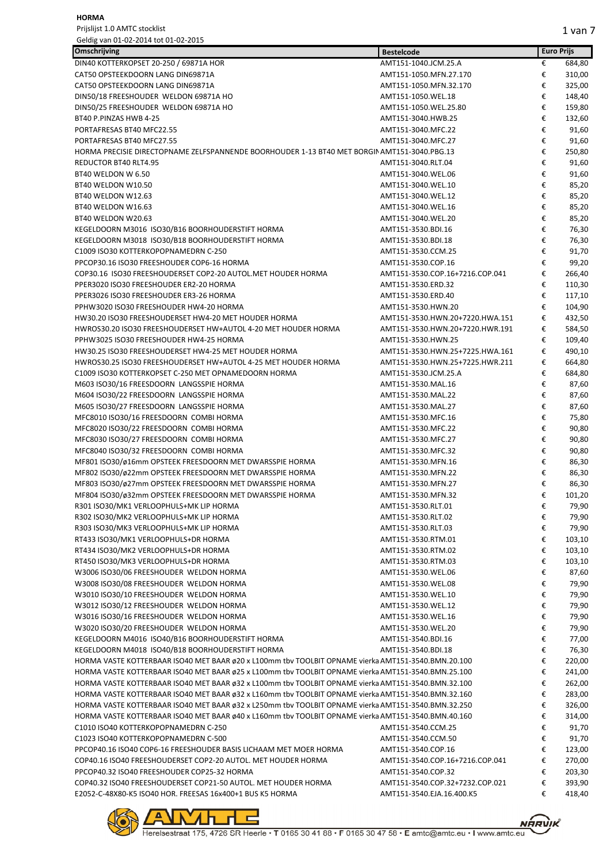| Omschrijving                                                                                        | <b>Bestelcode</b>               | <b>Euro Prijs</b> |        |
|-----------------------------------------------------------------------------------------------------|---------------------------------|-------------------|--------|
| DIN40 KOTTERKOPSET 20-250 / 69871A HOR                                                              | AMT151-1040.JCM.25.A            | €                 | 684,80 |
| CAT50 OPSTEEKDOORN LANG DIN69871A                                                                   | AMT151-1050.MFN.27.170          | €                 | 310,00 |
| CAT50 OPSTEEKDOORN LANG DIN69871A                                                                   | AMT151-1050.MFN.32.170          | €                 | 325,00 |
| DIN50/18 FREESHOUDER WELDON 69871A HO                                                               | AMT151-1050.WEL.18              | €                 | 148,40 |
| DIN50/25 FREESHOUDER WELDON 69871A HO                                                               | AMT151-1050.WEL.25.80           | €                 | 159,80 |
| BT40 P.PINZAS HWB 4-25                                                                              | AMT151-3040.HWB.25              | €                 | 132,60 |
| PORTAFRESAS BT40 MFC22.55                                                                           | AMT151-3040.MFC.22              | €                 | 91,60  |
| PORTAFRESAS BT40 MFC27.55                                                                           | AMT151-3040.MFC.27              | €                 | 91,60  |
| HORMA PRECISIE DIRECTOPNAME ZELFSPANNENDE BOORHOUDER 1-13 BT40 MET BORGIN AMT151-3040.PBG.13        |                                 | €                 | 250,80 |
| REDUCTOR BT40 RLT4.95                                                                               | AMT151-3040.RLT.04              | €                 | 91,60  |
| BT40 WELDON W 6.50                                                                                  | AMT151-3040.WEL.06              | €                 | 91,60  |
| BT40 WELDON W10.50                                                                                  | AMT151-3040.WEL.10              | €                 | 85,20  |
| BT40 WELDON W12.63                                                                                  | AMT151-3040.WEL.12              | €                 | 85,20  |
| BT40 WELDON W16.63                                                                                  | AMT151-3040.WEL.16              | €                 | 85,20  |
| BT40 WELDON W20.63                                                                                  | AMT151-3040.WEL.20              | €                 | 85,20  |
| KEGELDOORN M3016 ISO30/B16 BOORHOUDERSTIFT HORMA                                                    | AMT151-3530.BDI.16              | €                 | 76,30  |
| KEGELDOORN M3018 ISO30/B18 BOORHOUDERSTIFT HORMA                                                    | AMT151-3530.BDI.18              | €                 | 76,30  |
| C1009 ISO30 KOTTERKOPOPNAMEDRN C-250                                                                | AMT151-3530.CCM.25              | €                 | 91,70  |
| PPCOP30.16 ISO30 FREESHOUDER COP6-16 HORMA                                                          | AMT151-3530.COP.16              | €                 | 99,20  |
| COP30.16 ISO30 FREESHOUDERSET COP2-20 AUTOL.MET HOUDER HORMA                                        | AMT151-3530.COP.16+7216.COP.041 | €                 | 266,40 |
| PPER3020 ISO30 FREESHOUDER ER2-20 HORMA                                                             | AMT151-3530.ERD.32              | €                 | 110,30 |
| PPER3026 ISO30 FREESHOUDER ER3-26 HORMA                                                             | AMT151-3530.ERD.40              | €                 | 117,10 |
| PPHW3020 ISO30 FREESHOUDER HW4-20 HORMA                                                             | AMT151-3530.HWN.20              | €                 | 104,90 |
| HW30.20 ISO30 FREESHOUDERSET HW4-20 MET HOUDER HORMA                                                | AMT151-3530.HWN.20+7220.HWA.151 | €                 | 432,50 |
| HWROS30.20 ISO30 FREESHOUDERSET HW+AUTOL 4-20 MET HOUDER HORMA                                      | AMT151-3530.HWN.20+7220.HWR.191 | €                 | 584,50 |
| PPHW3025 ISO30 FREESHOUDER HW4-25 HORMA                                                             | AMT151-3530.HWN.25              | €                 | 109,40 |
| HW30.25 ISO30 FREESHOUDERSET HW4-25 MET HOUDER HORMA                                                | AMT151-3530.HWN.25+7225.HWA.161 | €                 | 490,10 |
| HWROS30.25 ISO30 FREESHOUDERSET HW+AUTOL 4-25 MET HOUDER HORMA                                      | AMT151-3530.HWN.25+7225.HWR.211 | €                 | 664,80 |
| C1009 ISO30 KOTTERKOPSET C-250 MET OPNAMEDOORN HORMA                                                | AMT151-3530.JCM.25.A            | €                 | 684,80 |
| M603 ISO30/16 FREESDOORN LANGSSPIE HORMA                                                            | AMT151-3530.MAL.16              | €                 | 87,60  |
| M604 ISO30/22 FREESDOORN LANGSSPIE HORMA                                                            | AMT151-3530.MAL.22              | €                 | 87,60  |
| M605 ISO30/27 FREESDOORN LANGSSPIE HORMA                                                            | AMT151-3530.MAL.27              | €                 | 87,60  |
| MFC8010 ISO30/16 FREESDOORN COMBI HORMA                                                             | AMT151-3530.MFC.16              | €                 | 75,80  |
| MFC8020 ISO30/22 FREESDOORN COMBI HORMA                                                             | AMT151-3530.MFC.22              | €                 | 90,80  |
| MFC8030 ISO30/27 FREESDOORN COMBI HORMA                                                             | AMT151-3530.MFC.27              | €                 | 90,80  |
| MFC8040 ISO30/32 FREESDOORN COMBI HORMA                                                             | AMT151-3530.MFC.32              | €                 | 90,80  |
| MF801 ISO30/ø16mm OPSTEEK FREESDOORN MET DWARSSPIE HORMA                                            | AMT151-3530.MFN.16              | €                 | 86,30  |
| MF802 ISO30/ø22mm OPSTEEK FREESDOORN MET DWARSSPIE HORMA                                            | AMT151-3530.MFN.22              | €                 | 86,30  |
| MF803 ISO30/ø27mm OPSTEEK FREESDOORN MET DWARSSPIE HORMA                                            | AMT151-3530.MFN.27              | €                 | 86,30  |
| MF804 ISO30/ø32mm OPSTEEK FREESDOORN MET DWARSSPIE HORMA                                            | AMT151-3530.MFN.32              | €                 | 101,20 |
| R301 ISO30/MK1 VERLOOPHULS+MK LIP HORMA                                                             | AMT151-3530.RLT.01              | €                 | 79,90  |
| R302 ISO30/MK2 VERLOOPHULS+MK LIP HORMA                                                             | AMT151-3530.RLT.02              | €                 | 79,90  |
| R303 ISO30/MK3 VERLOOPHULS+MK LIP HORMA                                                             | AMT151-3530.RLT.03              | €                 | 79,90  |
| RT433 ISO30/MK1 VERLOOPHULS+DR HORMA                                                                | AMT151-3530.RTM.01              | €                 | 103,10 |
| RT434 ISO30/MK2 VERLOOPHULS+DR HORMA                                                                | AMT151-3530.RTM.02              | €                 | 103,10 |
| RT450 ISO30/MK3 VERLOOPHULS+DR HORMA                                                                | AMT151-3530.RTM.03              | €                 | 103,10 |
| W3006 ISO30/06 FREESHOUDER WELDON HORMA                                                             | AMT151-3530.WEL.06              | €                 | 87,60  |
| W3008 ISO30/08 FREESHOUDER WELDON HORMA                                                             | AMT151-3530.WEL.08              | €                 | 79,90  |
| W3010 ISO30/10 FREESHOUDER WELDON HORMA                                                             | AMT151-3530.WEL.10              | €                 | 79,90  |
| W3012 ISO30/12 FREESHOUDER WELDON HORMA                                                             | AMT151-3530.WEL.12              | €                 | 79,90  |
| W3016 ISO30/16 FREESHOUDER WELDON HORMA                                                             | AMT151-3530.WEL.16              | €                 | 79,90  |
| W3020 ISO30/20 FREESHOUDER WELDON HORMA                                                             | AMT151-3530.WEL.20              | €                 | 79,90  |
| KEGELDOORN M4016 ISO40/B16 BOORHOUDERSTIFT HORMA                                                    | AMT151-3540.BDI.16              | €                 | 77,00  |
| KEGELDOORN M4018 ISO40/B18 BOORHOUDERSTIFT HORMA                                                    | AMT151-3540.BDI.18              | €                 | 76,30  |
| HORMA VASTE KOTTERBAAR ISO40 MET BAAR ø20 x L100mm tbv TOOLBIT OPNAME vierka AMT151-3540.BMN.20.100 |                                 | €                 | 220,00 |
| HORMA VASTE KOTTERBAAR ISO40 MET BAAR ø25 x L100mm tbv TOOLBIT OPNAME vierka AMT151-3540.BMN.25.100 |                                 | €                 | 241,00 |
| HORMA VASTE KOTTERBAAR ISO40 MET BAAR ø32 x L100mm tbv TOOLBIT OPNAME vierka AMT151-3540.BMN.32.100 |                                 | €                 | 262,00 |
| HORMA VASTE KOTTERBAAR ISO40 MET BAAR ø32 x L160mm tbv TOOLBIT OPNAME vierka AMT151-3540.BMN.32.160 |                                 | €                 | 283,00 |
| HORMA VASTE KOTTERBAAR ISO40 MET BAAR ø32 x L250mm tbv TOOLBIT OPNAME vierka AMT151-3540.BMN.32.250 |                                 | €                 | 326,00 |
| HORMA VASTE KOTTERBAAR ISO40 MET BAAR ø40 x L160mm tbv TOOLBIT OPNAME vierka AMT151-3540.BMN.40.160 |                                 | €                 | 314,00 |
| C1010 ISO40 KOTTERKOPOPNAMEDRN C-250                                                                | AMT151-3540.CCM.25              | €                 | 91,70  |
| C1023 ISO40 KOTTERKOPOPNAMEDRN C-500                                                                | AMT151-3540.CCM.50              | €                 | 91,70  |
| PPCOP40.16 ISO40 COP6-16 FREESHOUDER BASIS LICHAAM MET MOER HORMA                                   | AMT151-3540.COP.16              | €                 | 123,00 |
| COP40.16 ISO40 FREESHOUDERSET COP2-20 AUTOL. MET HOUDER HORMA                                       | AMT151-3540.COP.16+7216.COP.041 | €                 | 270,00 |
| PPCOP40.32 ISO40 FREESHOUDER COP25-32 HORMA                                                         | AMT151-3540.COP.32              | €                 | 203,30 |
| COP40.32 ISO40 FREESHOUDERSET COP21-50 AUTOL. MET HOUDER HORMA                                      | AMT151-3540.COP.32+7232.COP.021 | €                 | 393,90 |
| E2052-C-48X80-K5 ISO40 HOR. FREESAS 16x400+1 BUS K5 HORMA                                           | AMT151-3540.EJA.16.400.K5       | €                 | 418,40 |

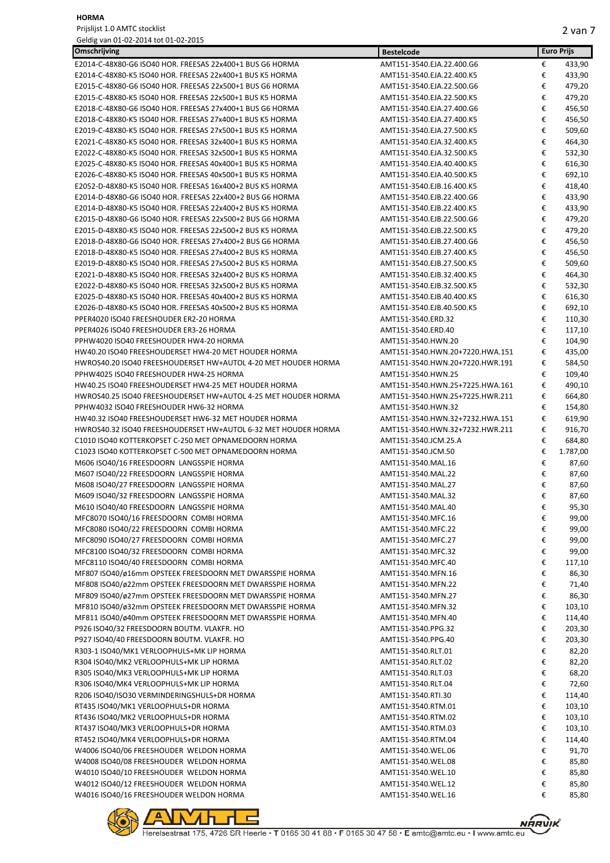| Omschrijving                                                                             | <b>Bestelcode</b>               |   | <b>Euro Prijs</b> |
|------------------------------------------------------------------------------------------|---------------------------------|---|-------------------|
| E2014-C-48X80-G6 ISO40 HOR. FREESAS 22x400+1 BUS G6 HORMA                                | AMT151-3540.EJA.22.400.G6       | € | 433,90            |
| E2014-C-48X80-K5 ISO40 HOR. FREESAS 22x400+1 BUS K5 HORMA                                | AMT151-3540.EJA.22.400.K5       | € | 433,90            |
| E2015-C-48X80-G6 ISO40 HOR. FREESAS 22x500+1 BUS G6 HORMA                                | AMT151-3540.EJA.22.500.G6       | € | 479,20            |
| E2015-C-48X80-K5 ISO40 HOR. FREESAS 22x500+1 BUS K5 HORMA                                | AMT151-3540.EJA.22.500.K5       | € | 479,20            |
| E2018-C-48X80-G6 ISO40 HOR. FREESAS 27x400+1 BUS G6 HORMA                                | AMT151-3540.EJA.27.400.G6       | € | 456,50            |
| E2018-C-48X80-K5 ISO40 HOR. FREESAS 27x400+1 BUS K5 HORMA                                | AMT151-3540.EJA.27.400.K5       | € | 456,50            |
| E2019-C-48X80-K5 ISO40 HOR. FREESAS 27x500+1 BUS K5 HORMA                                | AMT151-3540.EJA.27.500.K5       | € | 509,60            |
| E2021-C-48X80-K5 ISO40 HOR. FREESAS 32x400+1 BUS K5 HORMA                                | AMT151-3540.EJA.32.400.K5       | € | 464,30            |
| E2022-C-48X80-K5 ISO40 HOR. FREESAS 32x500+1 BUS K5 HORMA                                | AMT151-3540.EJA.32.500.K5       | € | 532,30            |
| E2025-C-48X80-K5 ISO40 HOR. FREESAS 40x400+1 BUS K5 HORMA                                | AMT151-3540.EJA.40.400.K5       | € | 616,30            |
| E2026-C-48X80-K5 ISO40 HOR. FREESAS 40x500+1 BUS K5 HORMA                                | AMT151-3540.EJA.40.500.K5       | € | 692,10            |
| E2052-D-48X80-K5 ISO40 HOR. FREESAS 16x400+2 BUS K5 HORMA                                | AMT151-3540.EJB.16.400.K5       | € | 418,40            |
| E2014-D-48X80-G6 ISO40 HOR. FREESAS 22x400+2 BUS G6 HORMA                                | AMT151-3540.EJB.22.400.G6       | € | 433,90            |
| E2014-D-48X80-K5 ISO40 HOR. FREESAS 22x400+2 BUS K5 HORMA                                | AMT151-3540.EJB.22.400.K5       | € | 433,90            |
| E2015-D-48X80-G6 ISO40 HOR. FREESAS 22x500+2 BUS G6 HORMA                                | AMT151-3540.EJB.22.500.G6       | € | 479,20            |
| E2015-D-48X80-K5 ISO40 HOR. FREESAS 22x500+2 BUS K5 HORMA                                | AMT151-3540.EJB.22.500.K5       | € | 479,20            |
| E2018-D-48X80-G6 ISO40 HOR. FREESAS 27x400+2 BUS G6 HORMA                                | AMT151-3540.EJB.27.400.G6       | € | 456,50            |
| E2018-D-48X80-K5 ISO40 HOR. FREESAS 27x400+2 BUS K5 HORMA                                | AMT151-3540.EJB.27.400.K5       | € | 456,50            |
| E2019-D-48X80-K5 ISO40 HOR. FREESAS 27x500+2 BUS K5 HORMA                                | AMT151-3540.EJB.27.500.K5       | € | 509,60            |
| E2021-D-48X80-K5 ISO40 HOR. FREESAS 32x400+2 BUS K5 HORMA                                | AMT151-3540.EJB.32.400.K5       | € | 464,30            |
| E2022-D-48X80-K5 ISO40 HOR. FREESAS 32x500+2 BUS K5 HORMA                                | AMT151-3540.EJB.32.500.K5       | € | 532,30            |
| E2025-D-48X80-K5 ISO40 HOR. FREESAS 40x400+2 BUS K5 HORMA                                | AMT151-3540.EJB.40.400.K5       | € | 616,30            |
| E2026-D-48X80-K5 ISO40 HOR. FREESAS 40x500+2 BUS K5 HORMA                                | AMT151-3540.EJB.40.500.K5       | € | 692,10            |
| PPER4020 ISO40 FREESHOUDER ER2-20 HORMA                                                  | AMT151-3540.ERD.32              | € | 110,30            |
| PPER4026 ISO40 FREESHOUDER ER3-26 HORMA                                                  | AMT151-3540.ERD.40              | € | 117,10            |
| PPHW4020 ISO40 FREESHOUDER HW4-20 HORMA                                                  | AMT151-3540.HWN.20              | € | 104,90            |
| HW40.20 ISO40 FREESHOUDERSET HW4-20 MET HOUDER HORMA                                     | AMT151-3540.HWN.20+7220.HWA.151 | € | 435,00            |
| HWROS40.20 ISO40 FREESHOUDERSET HW+AUTOL 4-20 MET HOUDER HORMA                           | AMT151-3540.HWN.20+7220.HWR.191 | € | 584,50            |
| PPHW4025 ISO40 FREESHOUDER HW4-25 HORMA                                                  | AMT151-3540.HWN.25              | € | 109,40            |
| HW40.25 ISO40 FREESHOUDERSET HW4-25 MET HOUDER HORMA                                     | AMT151-3540.HWN.25+7225.HWA.161 | € | 490,10            |
| HWROS40.25 ISO40 FREESHOUDERSET HW+AUTOL 4-25 MET HOUDER HORMA                           | AMT151-3540.HWN.25+7225.HWR.211 | € | 664,80            |
| PPHW4032 ISO40 FREESHOUDER HW6-32 HORMA                                                  | AMT151-3540.HWN.32              | € | 154,80            |
| HW40.32 ISO40 FREESHOUDERSET HW6-32 MET HOUDER HORMA                                     | AMT151-3540.HWN.32+7232.HWA.151 | € | 619,90            |
| HWROS40.32 ISO40 FREESHOUDERSET HW+AUTOL 6-32 MET HOUDER HORMA                           | AMT151-3540.HWN.32+7232.HWR.211 | € | 916,70            |
| C1010 ISO40 KOTTERKOPSET C-250 MET OPNAMEDOORN HORMA                                     | AMT151-3540.JCM.25.A            | € | 684,80            |
| C1023 ISO40 KOTTERKOPSET C-500 MET OPNAMEDOORN HORMA                                     | AMT151-3540.JCM.50              | € | 1.787,00          |
| M606 ISO40/16 FREESDOORN LANGSSPIE HORMA                                                 | AMT151-3540.MAL.16              | € | 87,60             |
| M607 ISO40/22 FREESDOORN LANGSSPIE HORMA                                                 | AMT151-3540.MAL.22              | € | 87,60             |
| M608 ISO40/27 FREESDOORN LANGSSPIE HORMA                                                 | AMT151-3540.MAL.27              | € | 87,60             |
| M609 ISO40/32 FREESDOORN LANGSSPIE HORMA                                                 | AMT151-3540.MAL.32              | € | 87,60             |
| M610 ISO40/40 FREESDOORN LANGSSPIE HORMA                                                 | AMT151-3540.MAL.40              | € | 95,30             |
| MFC8070 ISO40/16 FREESDOORN COMBI HORMA                                                  | AMT151-3540.MFC.16              | € | 99,00             |
| MFC8080 ISO40/22 FREESDOORN COMBI HORMA                                                  | AMT151-3540.MFC.22              | € | 99,00             |
| MFC8090 ISO40/27 FREESDOORN COMBI HORMA                                                  | AMT151-3540.MFC.27              | € | 99,00             |
| MFC8100 ISO40/32 FREESDOORN COMBI HORMA                                                  | AMT151-3540.MFC.32              | € | 99,00             |
| MFC8110 ISO40/40 FREESDOORN COMBI HORMA                                                  | AMT151-3540.MFC.40              | € | 117,10            |
| MF807 ISO40/ø16mm OPSTEEK FREESDOORN MET DWARSSPIE HORMA                                 | AMT151-3540.MFN.16              | € | 86,30             |
| MF808 ISO40/ø22mm OPSTEEK FREESDOORN MET DWARSSPIE HORMA                                 | AMT151-3540.MFN.22              | € | 71,40             |
| MF809 ISO40/ø27mm OPSTEEK FREESDOORN MET DWARSSPIE HORMA                                 | AMT151-3540.MFN.27              | € | 86,30             |
| MF810 ISO40/ø32mm OPSTEEK FREESDOORN MET DWARSSPIE HORMA                                 | AMT151-3540.MFN.32              | € | 103,10            |
| MF811 ISO40/ø40mm OPSTEEK FREESDOORN MET DWARSSPIE HORMA                                 | AMT151-3540.MFN.40              | € | 114,40            |
|                                                                                          | AMT151-3540.PPG.32              | € |                   |
| P926 ISO40/32 FREESDOORN BOUTM. VLAKFR. HO<br>P927 ISO40/40 FREESDOORN BOUTM. VLAKFR. HO |                                 | € | 203,30<br>203,30  |
|                                                                                          | AMT151-3540.PPG.40              |   |                   |
| R303-1 ISO40/MK1 VERLOOPHULS+MK LIP HORMA                                                | AMT151-3540.RLT.01              | € | 82,20             |
| R304 ISO40/MK2 VERLOOPHULS+MK LIP HORMA                                                  | AMT151-3540.RLT.02              | € | 82,20             |
| R305 ISO40/MK3 VERLOOPHULS+MK LIP HORMA                                                  | AMT151-3540.RLT.03              | € | 68,20             |
| R306 ISO40/MK4 VERLOOPHULS+MK LIP HORMA                                                  | AMT151-3540.RLT.04              | € | 72,60             |
| R206 ISO40/ISO30 VERMINDERINGSHULS+DR HORMA                                              | AMT151-3540.RTI.30              | € | 114,40            |
| RT435 ISO40/MK1 VERLOOPHULS+DR HORMA                                                     | AMT151-3540.RTM.01              | € | 103,10            |
| RT436 ISO40/MK2 VERLOOPHULS+DR HORMA                                                     | AMT151-3540.RTM.02              | € | 103,10            |
| RT437 ISO40/MK3 VERLOOPHULS+DR HORMA                                                     | AMT151-3540.RTM.03              | € | 103,10            |
| RT452 ISO40/MK4 VERLOOPHULS+DR HORMA                                                     | AMT151-3540.RTM.04              | € | 114,40            |
| W4006 ISO40/06 FREESHOUDER WELDON HORMA                                                  | AMT151-3540.WEL.06              | € | 91,70             |
| W4008 ISO40/08 FREESHOUDER WELDON HORMA                                                  | AMT151-3540.WEL.08              | € | 85,80             |
| W4010 ISO40/10 FREESHOUDER WELDON HORMA                                                  | AMT151-3540.WEL.10              | € | 85,80             |
| W4012 ISO40/12 FREESHOUDER WELDON HORMA                                                  | AMT151-3540.WEL.12              | € | 85,80             |
| W4016 ISO40/16 FREESHOUDER WELDON HORMA                                                  | AMT151-3540.WEL.16              | € | 85,80             |



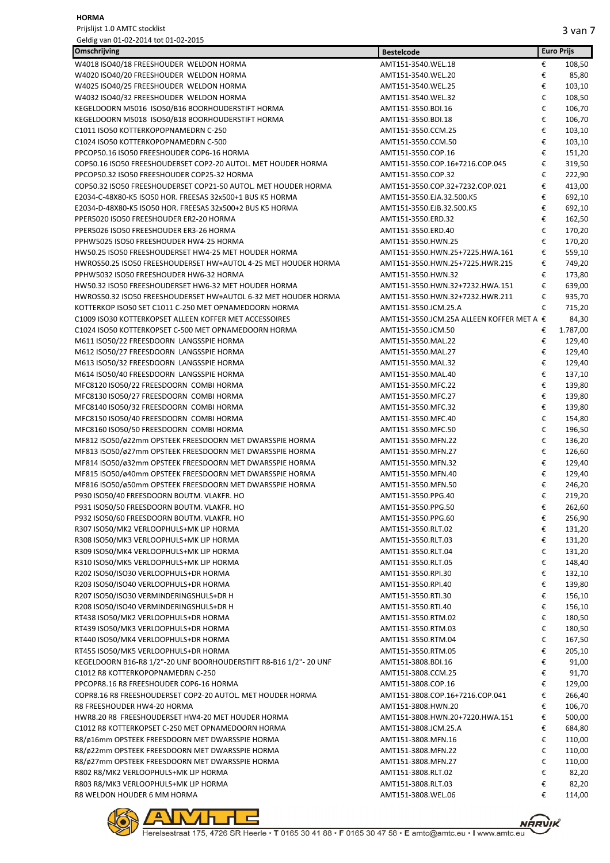| Omschrijving                                                                                                         | <b>Bestelcode</b>                                     |        | <b>Euro Prijs</b> |
|----------------------------------------------------------------------------------------------------------------------|-------------------------------------------------------|--------|-------------------|
| W4018 ISO40/18 FREESHOUDER WELDON HORMA                                                                              | AMT151-3540.WEL.18                                    | €      | 108,50            |
| W4020 ISO40/20 FREESHOUDER WELDON HORMA                                                                              | AMT151-3540.WEL.20                                    | €      | 85,80             |
| W4025 ISO40/25 FREESHOUDER WELDON HORMA                                                                              | AMT151-3540.WEL.25                                    | €      | 103,10            |
| W4032 ISO40/32 FREESHOUDER WELDON HORMA                                                                              | AMT151-3540.WEL.32                                    | €      | 108,50            |
| KEGELDOORN M5016 ISO50/B16 BOORHOUDERSTIFT HORMA                                                                     | AMT151-3550.BDI.16                                    | €      | 106,70            |
| KEGELDOORN M5018 ISO50/B18 BOORHOUDERSTIFT HORMA                                                                     | AMT151-3550.BDI.18                                    | €      | 106,70            |
| C1011 ISO50 KOTTERKOPOPNAMEDRN C-250                                                                                 | AMT151-3550.CCM.25                                    | €      | 103,10            |
| C1024 ISO50 KOTTERKOPOPNAMEDRN C-500                                                                                 | AMT151-3550.CCM.50                                    | €      | 103,10            |
| PPCOP50.16 ISO50 FREESHOUDER COP6-16 HORMA                                                                           | AMT151-3550.COP.16                                    | €      | 151,20            |
| COP50.16 ISO50 FREESHOUDERSET COP2-20 AUTOL. MET HOUDER HORMA                                                        | AMT151-3550.COP.16+7216.COP.045                       | €      | 319,50            |
| PPCOP50.32 ISO50 FREESHOUDER COP25-32 HORMA<br>COP50.32 ISO50 FREESHOUDERSET COP21-50 AUTOL. MET HOUDER HORMA        | AMT151-3550.COP.32<br>AMT151-3550.COP.32+7232.COP.021 | €<br>€ | 222,90<br>413,00  |
| E2034-C-48X80-K5 ISO50 HOR. FREESAS 32x500+1 BUS K5 HORMA                                                            | AMT151-3550.EJA.32.500.K5                             | €      | 692,10            |
| E2034-D-48X80-K5 ISO50 HOR. FREESAS 32x500+2 BUS K5 HORMA                                                            | AMT151-3550.EJB.32.500.K5                             | €      | 692,10            |
| PPER5020 ISO50 FREESHOUDER ER2-20 HORMA                                                                              | AMT151-3550.ERD.32                                    | €      | 162,50            |
| PPER5026 ISO50 FREESHOUDER ER3-26 HORMA                                                                              | AMT151-3550.ERD.40                                    | €      | 170,20            |
| PPHW5025 ISO50 FREESHOUDER HW4-25 HORMA                                                                              | AMT151-3550.HWN.25                                    | €      | 170,20            |
| HW50.25 ISO50 FREESHOUDERSET HW4-25 MET HOUDER HORMA                                                                 | AMT151-3550.HWN.25+7225.HWA.161                       | €      | 559,10            |
| HWROS50.25 ISO50 FREESHOUDERSET HW+AUTOL 4-25 MET HOUDER HORMA                                                       | AMT151-3550.HWN.25+7225.HWR.215                       | €      | 749,20            |
| PPHW5032 ISO50 FREESHOUDER HW6-32 HORMA                                                                              | AMT151-3550.HWN.32                                    | €      | 173,80            |
| HW50.32 ISO50 FREESHOUDERSET HW6-32 MET HOUDER HORMA                                                                 | AMT151-3550.HWN.32+7232.HWA.151                       | €      | 639,00            |
| HWROS50.32 ISO50 FREESHOUDERSET HW+AUTOL 6-32 MET HOUDER HORMA                                                       | AMT151-3550.HWN.32+7232.HWR.211                       | €      | 935,70            |
| KOTTERKOP ISO50 SET C1011 C-250 MET OPNAMEDOORN HORMA                                                                | AMT151-3550.JCM.25.A                                  | €      | 715,20            |
| C1009 ISO30 KOTTERKOPSET ALLEEN KOFFER MET ACCESSOIRES                                                               | AMT151-3550.JCM.25A ALLEEN KOFFER MET A €             |        | 84,30             |
| C1024 ISO50 KOTTERKOPSET C-500 MET OPNAMEDOORN HORMA                                                                 | AMT151-3550.JCM.50                                    | €      | 1.787,00          |
| M611 ISO50/22 FREESDOORN LANGSSPIE HORMA                                                                             | AMT151-3550.MAL.22                                    | €      | 129,40            |
| M612 ISO50/27 FREESDOORN LANGSSPIE HORMA                                                                             | AMT151-3550.MAL.27                                    | €      | 129,40            |
| M613 ISO50/32 FREESDOORN LANGSSPIE HORMA                                                                             | AMT151-3550.MAL.32                                    | €      | 129,40            |
| M614 ISO50/40 FREESDOORN LANGSSPIE HORMA                                                                             | AMT151-3550.MAL.40                                    | €      | 137,10            |
| MFC8120 ISO50/22 FREESDOORN COMBI HORMA                                                                              | AMT151-3550.MFC.22                                    | €      | 139,80            |
| MFC8130 ISO50/27 FREESDOORN COMBI HORMA                                                                              | AMT151-3550.MFC.27                                    | €      | 139,80            |
| MFC8140 ISO50/32 FREESDOORN COMBI HORMA                                                                              | AMT151-3550.MFC.32                                    | €      | 139,80            |
| MFC8150 ISO50/40 FREESDOORN COMBI HORMA                                                                              | AMT151-3550.MFC.40                                    | €      | 154,80            |
| MFC8160 ISO50/50 FREESDOORN COMBI HORMA                                                                              | AMT151-3550.MFC.50                                    | €      | 196,50            |
| MF812 ISO50/ø22mm OPSTEEK FREESDOORN MET DWARSSPIE HORMA<br>MF813 ISO50/ø27mm OPSTEEK FREESDOORN MET DWARSSPIE HORMA | AMT151-3550.MFN.22<br>AMT151-3550.MFN.27              | €<br>€ | 136,20<br>126,60  |
| MF814 ISO50/ø32mm OPSTEEK FREESDOORN MET DWARSSPIE HORMA                                                             | AMT151-3550.MFN.32                                    | €      | 129,40            |
| MF815 ISO50/ø40mm OPSTEEK FREESDOORN MET DWARSSPIE HORMA                                                             | AMT151-3550.MFN.40                                    | €      | 129,40            |
| MF816 ISO50/ø50mm OPSTEEK FREESDOORN MET DWARSSPIE HORMA                                                             | AMT151-3550.MFN.50                                    | €      | 246,20            |
| P930 ISO50/40 FREESDOORN BOUTM. VLAKFR. HO                                                                           | AMT151-3550.PPG.40                                    | €      | 219,20            |
| P931 ISO50/50 FREESDOORN BOUTM. VLAKFR. HO                                                                           | AMT151-3550.PPG.50                                    | €      | 262,60            |
| P932 ISO50/60 FREESDOORN BOUTM. VLAKFR. HO                                                                           | AMT151-3550.PPG.60                                    | €      | 256,90            |
| R307 ISO50/MK2 VERLOOPHULS+MK LIP HORMA                                                                              | AMT151-3550.RLT.02                                    | €      | 131,20            |
| R308 ISO50/MK3 VERLOOPHULS+MK LIP HORMA                                                                              | AMT151-3550.RLT.03                                    | €      | 131,20            |
| R309 ISO50/MK4 VERLOOPHULS+MK LIP HORMA                                                                              | AMT151-3550.RLT.04                                    | €      | 131,20            |
| R310 ISO50/MK5 VERLOOPHULS+MK LIP HORMA                                                                              | AMT151-3550.RLT.05                                    | €      | 148,40            |
| R202 ISO50/ISO30 VERLOOPHULS+DR HORMA                                                                                | AMT151-3550.RPI.30                                    | €      | 132,10            |
| R203 ISO50/ISO40 VERLOOPHULS+DR HORMA                                                                                | AMT151-3550.RPI.40                                    | €      | 139,80            |
| R207 ISO50/ISO30 VERMINDERINGSHULS+DR H                                                                              | AMT151-3550.RTI.30                                    | €      | 156,10            |
| R208 ISO50/ISO40 VERMINDERINGSHULS+DR H                                                                              | AMT151-3550.RTI.40                                    | €      | 156,10            |
| RT438 ISO50/MK2 VERLOOPHULS+DR HORMA                                                                                 | AMT151-3550.RTM.02                                    | €      | 180,50            |
| RT439 ISO50/MK3 VERLOOPHULS+DR HORMA                                                                                 | AMT151-3550.RTM.03                                    | €      | 180,50            |
| RT440 ISO50/MK4 VERLOOPHULS+DR HORMA                                                                                 | AMT151-3550.RTM.04                                    | €      | 167,50            |
| RT455 ISO50/MK5 VERLOOPHULS+DR HORMA                                                                                 | AMT151-3550.RTM.05                                    | €      | 205,10            |
| KEGELDOORN B16-R8 1/2"-20 UNF BOORHOUDERSTIFT R8-B16 1/2"- 20 UNF                                                    | AMT151-3808.BDI.16                                    | €      | 91,00             |
| C1012 R8 KOTTERKOPOPNAMEDRN C-250                                                                                    | AMT151-3808.CCM.25                                    | €      | 91,70             |
| PPCOPR8.16 R8 FREESHOUDER COP6-16 HORMA                                                                              | AMT151-3808.COP.16                                    | €      | 129,00            |
| COPR8.16 R8 FREESHOUDERSET COP2-20 AUTOL. MET HOUDER HORMA<br>R8 FREESHOUDER HW4-20 HORMA                            | AMT151-3808.COP.16+7216.COP.041<br>AMT151-3808.HWN.20 | €<br>€ | 266,40<br>106,70  |
| HWR8.20 R8 FREESHOUDERSET HW4-20 MET HOUDER HORMA                                                                    | AMT151-3808.HWN.20+7220.HWA.151                       | €      | 500,00            |
| C1012 R8 KOTTERKOPSET C-250 MET OPNAMEDOORN HORMA                                                                    | AMT151-3808.JCM.25.A                                  | €      | 684,80            |
| R8/ø16mm OPSTEEK FREESDOORN MET DWARSSPIE HORMA                                                                      | AMT151-3808.MFN.16                                    | €      | 110,00            |
| R8/ø22mm OPSTEEK FREESDOORN MET DWARSSPIE HORMA                                                                      | AMT151-3808.MFN.22                                    | €      | 110,00            |
| R8/ø27mm OPSTEEK FREESDOORN MET DWARSSPIE HORMA                                                                      | AMT151-3808.MFN.27                                    | €      | 110,00            |
| R802 R8/MK2 VERLOOPHULS+MK LIP HORMA                                                                                 | AMT151-3808.RLT.02                                    | €      | 82,20             |
| R803 R8/MK3 VERLOOPHULS+MK LIP HORMA                                                                                 | AMT151-3808.RLT.03                                    | €      | 82,20             |
| R8 WELDON HOUDER 6 MM HORMA                                                                                          | AMT151-3808.WEL.06                                    | €      | 114,00            |



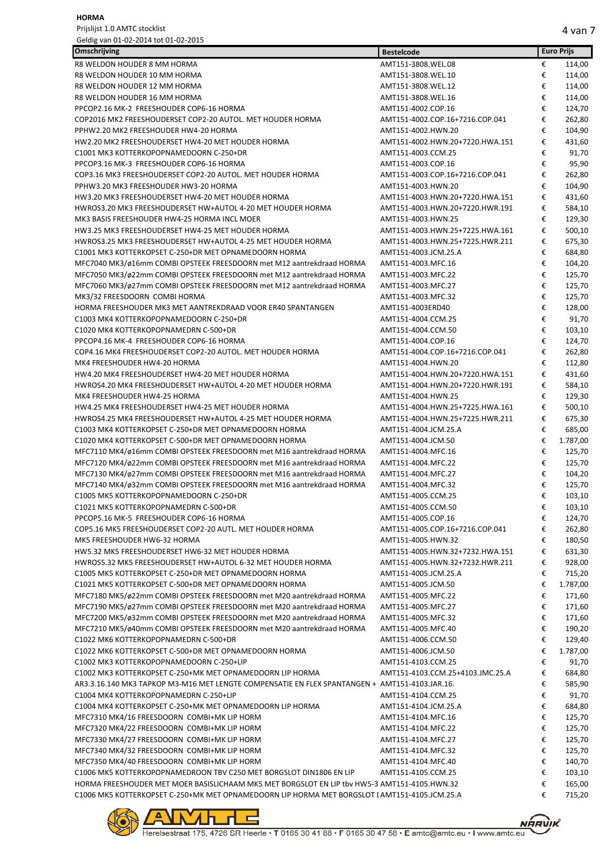| Omschrijving                                                                                   | <b>Bestelcode</b>                                     |   | <b>Euro Prijs</b> |
|------------------------------------------------------------------------------------------------|-------------------------------------------------------|---|-------------------|
| R8 WELDON HOUDER 8 MM HORMA                                                                    | AMT151-3808.WEL.08                                    | € | 114,00            |
| R8 WELDON HOUDER 10 MM HORMA                                                                   | AMT151-3808.WEL.10                                    | € | 114,00            |
| R8 WELDON HOUDER 12 MM HORMA                                                                   | AMT151-3808.WEL.12                                    | € | 114,00            |
| R8 WELDON HOUDER 16 MM HORMA                                                                   | AMT151-3808.WEL.16                                    | € | 114,00            |
| PPCOP2.16 MK-2 FREESHOUDER COP6-16 HORMA                                                       | AMT151-4002.COP.16                                    | € | 124,70            |
| COP2016 MK2 FREESHOUDERSET COP2-20 AUTOL. MET HOUDER HORMA                                     | AMT151-4002.COP.16+7216.COP.041                       | € | 262,80            |
| PPHW2.20 MK2 FREESHOUDER HW4-20 HORMA                                                          | AMT151-4002.HWN.20                                    | € | 104,90            |
| HW2.20 MK2 FREESHOUDERSET HW4-20 MET HOUDER HORMA                                              | AMT151-4002.HWN.20+7220.HWA.151                       | € | 431,60            |
| C1001 MK3 KOTTERKOPOPNAMEDOORN C-250+DR                                                        | AMT151-4003.CCM.25                                    | € | 91,70             |
| PPCOP3.16 MK-3 FREESHOUDER COP6-16 HORMA                                                       | AMT151-4003.COP.16                                    | € | 95,90             |
| COP3.16 MK3 FREESHOUDERSET COP2-20 AUTOL. MET HOUDER HORMA                                     | AMT151-4003.COP.16+7216.COP.041                       | € | 262,80            |
| PPHW3.20 MK3 FREESHOUDER HW3-20 HORMA                                                          | AMT151-4003.HWN.20                                    | € | 104,90            |
| HW3.20 MK3 FREESHOUDERSET HW4-20 MET HOUDER HORMA                                              | AMT151-4003.HWN.20+7220.HWA.151                       | € | 431,60            |
| HWROS3.20 MK3 FREESHOUDERSET HW+AUTOL 4-20 MET HOUDER HORMA                                    | AMT151-4003.HWN.20+7220.HWR.191                       | € | 584,10            |
| MK3 BASIS FREESHOUDER HW4-25 HORMA INCL MOER                                                   | AMT151-4003.HWN.25                                    | € | 129,30            |
| HW3.25 MK3 FREESHOUDERSET HW4-25 MET HOUDER HORMA                                              | AMT151-4003.HWN.25+7225.HWA.161                       | € | 500,10            |
| HWROS3.25 MK3 FREESHOUDERSET HW+AUTOL 4-25 MET HOUDER HORMA                                    | AMT151-4003.HWN.25+7225.HWR.211                       | € | 675,30            |
| C1001 MK3 KOTTERKOPSET C-250+DR MET OPNAMEDOORN HORMA                                          | AMT151-4003.JCM.25.A                                  | € | 684,80            |
| MFC7040 MK3/ø16mm COMBI OPSTEEK FREESDOORN met M12 aantrekdraad HORMA                          | AMT151-4003.MFC.16                                    | € | 104,20            |
| MFC7050 MK3/ø22mm COMBI OPSTEEK FREESDOORN met M12 aantrekdraad HORMA                          | AMT151-4003.MFC.22                                    | € | 125,70            |
| MFC7060 MK3/ø27mm COMBI OPSTEEK FREESDOORN met M12 aantrekdraad HORMA                          | AMT151-4003.MFC.27                                    | € | 125,70            |
| MK3/32 FREESDOORN COMBI HORMA                                                                  | AMT151-4003.MFC.32                                    | € | 125,70            |
| HORMA FREESHOUDER MK3 MET AANTREKDRAAD VOOR ER40 SPANTANGEN                                    | AMT151-4003ERD40                                      | € | 128,00            |
| C1003 MK4 KOTTERKOPOPNAMEDOORN C-250+DR                                                        | AMT151-4004.CCM.25                                    | € | 91,70             |
| C1020 MK4 KOTTERKOPOPNAMEDRN C-500+DR                                                          | AMT151-4004.CCM.50                                    | € | 103,10            |
| PPCOP4.16 MK-4 FREESHOUDER COP6-16 HORMA                                                       | AMT151-4004.COP.16                                    | € |                   |
| COP4.16 MK4 FREESHOUDERSET COP2-20 AUTOL. MET HOUDER HORMA                                     |                                                       | € | 124,70<br>262,80  |
| MK4 FREESHOUDER HW4-20 HORMA                                                                   | AMT151-4004.COP.16+7216.COP.041<br>AMT151-4004.HWN.20 | € |                   |
|                                                                                                |                                                       |   | 112,80            |
| HW4.20 MK4 FREESHOUDERSET HW4-20 MET HOUDER HORMA                                              | AMT151-4004.HWN.20+7220.HWA.151                       | € | 431,60            |
| HWROS4.20 MK4 FREESHOUDERSET HW+AUTOL 4-20 MET HOUDER HORMA                                    | AMT151-4004.HWN.20+7220.HWR.191                       | € | 584,10            |
| MK4 FREESHOUDER HW4-25 HORMA                                                                   | AMT151-4004.HWN.25                                    | € | 129,30            |
| HW4.25 MK4 FREESHOUDERSET HW4-25 MET HOUDER HORMA                                              | AMT151-4004.HWN.25+7225.HWA.161                       | € | 500,10            |
| HWROS4.25 MK4 FREESHOUDERSET HW+AUTOL 4-25 MET HOUDER HORMA                                    | AMT151-4004.HWN.25+7225.HWR.211                       | € | 675,30            |
| C1003 MK4 KOTTERKOPSET C-250+DR MET OPNAMEDOORN HORMA                                          | AMT151-4004.JCM.25.A                                  | € | 685,00            |
| C1020 MK4 KOTTERKOPSET C-500+DR MET OPNAMEDOORN HORMA                                          | AMT151-4004.JCM.50                                    | € | 1.787,00          |
| MFC7110 MK4/ø16mm COMBI OPSTEEK FREESDOORN met M16 aantrekdraad HORMA                          | AMT151-4004.MFC.16                                    | € | 125,70            |
| MFC7120 MK4/ø22mm COMBI OPSTEEK FREESDOORN met M16 aantrekdraad HORMA                          | AMT151-4004.MFC.22                                    | € | 125,70            |
| MFC7130 MK4/ø27mm COMBI OPSTEEK FREESDOORN met M16 aantrekdraad HORMA                          | AMT151-4004.MFC.27                                    | € | 104,20            |
| MFC7140 MK4/ø32mm COMBI OPSTEEK FREESDOORN met M16 aantrekdraad HORMA                          | AMT151-4004.MFC.32                                    | € | 125,70            |
| C1005 MK5 KOTTERKOPOPNAMEDOORN C-250+DR                                                        | AMT151-4005.CCM.25                                    | € | 103,10            |
| C1021 MK5 KOTTERKOPOPNAMEDRN C-500+DR                                                          | AMT151-4005.CCM.50                                    | € | 103,10            |
| PPCOP5.16 MK-5 FREESHOUDER COP6-16 HORMA                                                       | AMT151-4005.COP.16                                    | € | 124,70            |
| COP5.16 MK5 FREESHOUDERSET COP2-20 AUTL. MET HOUDER HORMA                                      | AMT151-4005.COP.16+7216.COP.041                       | € | 262,80            |
| MK5 FREESHOUDER HW6-32 HORMA                                                                   | AMT151-4005.HWN.32                                    | € | 180,50            |
| HW5.32 MK5 FREESHOUDERSET HW6-32 MET HOUDER HORMA                                              | AMT151-4005.HWN.32+7232.HWA.151                       | € | 631,30            |
| HWROS5.32 MK5 FREESHOUDERSET HW+AUTOL 6-32 MET HOUDER HORMA                                    | AMT151-4005.HWN.32+7232.HWR.211                       | € | 928,00            |
| C1005 MK5 KOTTERKOPSET C-250+DR MET OPNAMEDOORN HORMA                                          | AMT151-4005.JCM.25.A                                  | € | 715,20            |
| C1021 MK5 KOTTERKOPSET C-500+DR MET OPNAMEDOORN HORMA                                          | AMT151-4005.JCM.50                                    | € | 1.787,00          |
| MFC7180 MK5/ø22mm COMBI OPSTEEK FREESDOORN met M20 aantrekdraad HORMA                          | AMT151-4005.MFC.22                                    | € | 171,60            |
| MFC7190 MK5/ø27mm COMBI OPSTEEK FREESDOORN met M20 aantrekdraad HORMA                          | AMT151-4005.MFC.27                                    | € | 171,60            |
| MFC7200 MK5/ø32mm COMBI OPSTEEK FREESDOORN met M20 aantrekdraad HORMA                          | AMT151-4005.MFC.32                                    | € | 171,60            |
| MFC7210 MK5/ø40mm COMBI OPSTEEK FREESDOORN met M20 aantrekdraad HORMA                          | AMT151-4005.MFC.40                                    | € | 190,20            |
| C1022 MK6 KOTTERKOPOPNAMEDRN C-500+DR                                                          | AMT151-4006.CCM.50                                    | € | 129,40            |
| C1022 MK6 KOTTERKOPSET C-500+DR MET OPNAMEDOORN HORMA                                          | AMT151-4006.JCM.50                                    | € | 1.787,00          |
| C1002 MK3 KOTTERKOPOPNAMEDOORN C-250+LIP                                                       | AMT151-4103.CCM.25                                    | € | 91,70             |
| C1002 MK3 KOTTERKOPSET C-250+MK MET OPNAMEDOORN LIP HORMA                                      | AMT151-4103.CCM.25+4103.JMC.25.A                      | € | 684,80            |
| AR3.3.16.140 MK3 TAPKOP M3-M16 MET LENGTE COMPENSATIE EN FLEX SPANTANGEN + AMT151-4103.JAR.16. |                                                       | € | 585,90            |
| C1004 MK4 KOTTERKOPOPNAMEDRN C-250+LIP                                                         | AMT151-4104.CCM.25                                    | € | 91,70             |
| C1004 MK4 KOTTERKOPSET C-250+MK MET OPNAMEDOORN LIP HORMA                                      | AMT151-4104.JCM.25.A                                  | € | 684,80            |
| MFC7310 MK4/16 FREESDOORN COMBI+MK LIP HORM                                                    | AMT151-4104.MFC.16                                    | € | 125,70            |
| MFC7320 MK4/22 FREESDOORN COMBI+MK LIP HORM                                                    | AMT151-4104.MFC.22                                    | € | 125,70            |
| MFC7330 MK4/27 FREESDOORN COMBI+MK LIP HORM                                                    | AMT151-4104.MFC.27                                    | € | 125,70            |
| MFC7340 MK4/32 FREESDOORN COMBI+MK LIP HORM                                                    | AMT151-4104.MFC.32                                    | € | 125,70            |
| MFC7350 MK4/40 FREESDOORN COMBI+MK LIP HORM                                                    | AMT151-4104.MFC.40                                    | € | 140,70            |
| C1006 MK5 KOTTERKOPOPNAMEDROON TBV C250 MET BORGSLOT DIN1806 EN LIP                            | AMT151-4105.CCM.25                                    | € | 103,10            |
| HORMA FREESHOUDER MET MOER BASISLICHAAM MK5 MET BORGSLOT EN LIP tbv HW5-3 AMT151-4105.HWN.32   |                                                       | € | 165,00            |
| C1006 MK5 KOTTERKOPSET C-250+MK MET OPNAMEDOORN LIP HORMA MET BORGSLOT I AMT151-4105.JCM.25.A  |                                                       | € | 715,20            |



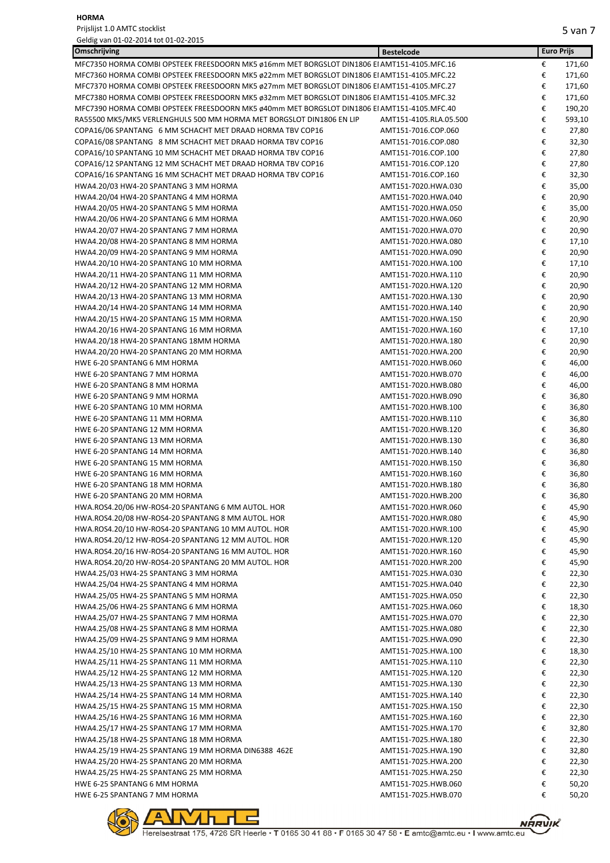Prijslijst 1.0 AMTC stocklist

| Geldig van 01-02-2014 tot 01-02-2015                                                        |                        |   |                   |
|---------------------------------------------------------------------------------------------|------------------------|---|-------------------|
| Omschrijving                                                                                | <b>Bestelcode</b>      |   | <b>Euro Prijs</b> |
| MFC7350 HORMA COMBI OPSTEEK FREESDOORN MK5 ø16mm MET BORGSLOT DIN1806 EI AMT151-4105.MFC.16 |                        | € | 171,60            |
| MFC7360 HORMA COMBI OPSTEEK FREESDOORN MK5 ø22mm MET BORGSLOT DIN1806 EI AMT151-4105.MFC.22 |                        | € | 171,60            |
| MFC7370 HORMA COMBI OPSTEEK FREESDOORN MK5 ø27mm MET BORGSLOT DIN1806 EI AMT151-4105.MFC.27 |                        | € | 171,60            |
| MFC7380 HORMA COMBI OPSTEEK FREESDOORN MK5 ø32mm MET BORGSLOT DIN1806 EI AMT151-4105.MFC.32 |                        | € | 171,60            |
| MFC7390 HORMA COMBI OPSTEEK FREESDOORN MK5 ø40mm MET BORGSLOT DIN1806 EI AMT151-4105.MFC.40 |                        | € | 190,20            |
| RA55500 MK5/MK5 VERLENGHULS 500 MM HORMA MET BORGSLOT DIN1806 EN LIP                        | AMT151-4105.RLA.05.500 | € | 593,10            |
| COPA16/06 SPANTANG 6 MM SCHACHT MET DRAAD HORMA TBV COP16                                   | AMT151-7016.COP.060    | € | 27,80             |
| COPA16/08 SPANTANG 8 MM SCHACHT MET DRAAD HORMA TBV COP16                                   | AMT151-7016.COP.080    | € | 32,30             |
| COPA16/10 SPANTANG 10 MM SCHACHT MET DRAAD HORMA TBV COP16                                  | AMT151-7016.COP.100    | € | 27,80             |
| COPA16/12 SPANTANG 12 MM SCHACHT MET DRAAD HORMA TBV COP16                                  | AMT151-7016.COP.120    | € | 27,80             |
| COPA16/16 SPANTANG 16 MM SCHACHT MET DRAAD HORMA TBV COP16                                  | AMT151-7016.COP.160    | € | 32,30             |
| HWA4.20/03 HW4-20 SPANTANG 3 MM HORMA                                                       | AMT151-7020.HWA.030    | € | 35,00             |
| HWA4.20/04 HW4-20 SPANTANG 4 MM HORMA                                                       | AMT151-7020.HWA.040    | € | 20,90             |
| HWA4.20/05 HW4-20 SPANTANG 5 MM HORMA                                                       | AMT151-7020.HWA.050    | € | 35,00             |
| HWA4.20/06 HW4-20 SPANTANG 6 MM HORMA                                                       | AMT151-7020.HWA.060    | € | 20,90             |
| HWA4.20/07 HW4-20 SPANTANG 7 MM HORMA                                                       | AMT151-7020.HWA.070    | € | 20,90             |
| HWA4.20/08 HW4-20 SPANTANG 8 MM HORMA                                                       | AMT151-7020.HWA.080    | € | 17,10             |
| HWA4.20/09 HW4-20 SPANTANG 9 MM HORMA                                                       | AMT151-7020.HWA.090    | € | 20,90             |
| HWA4.20/10 HW4-20 SPANTANG 10 MM HORMA                                                      | AMT151-7020.HWA.100    | € | 17,10             |
| HWA4.20/11 HW4-20 SPANTANG 11 MM HORMA                                                      | AMT151-7020.HWA.110    | € | 20,90             |
| HWA4.20/12 HW4-20 SPANTANG 12 MM HORMA                                                      | AMT151-7020.HWA.120    | € | 20,90             |
| HWA4.20/13 HW4-20 SPANTANG 13 MM HORMA                                                      | AMT151-7020.HWA.130    | € | 20,90             |
| HWA4.20/14 HW4-20 SPANTANG 14 MM HORMA                                                      | AMT151-7020.HWA.140    | € | 20,90             |
| HWA4.20/15 HW4-20 SPANTANG 15 MM HORMA                                                      | AMT151-7020.HWA.150    | € | 20,90             |
| HWA4.20/16 HW4-20 SPANTANG 16 MM HORMA                                                      | AMT151-7020.HWA.160    | € | 17,10             |
| HWA4.20/18 HW4-20 SPANTANG 18MM HORMA                                                       | AMT151-7020.HWA.180    | € | 20,90             |
| HWA4.20/20 HW4-20 SPANTANG 20 MM HORMA                                                      | AMT151-7020.HWA.200    | € | 20,90             |
| HWE 6-20 SPANTANG 6 MM HORMA                                                                | AMT151-7020.HWB.060    | € | 46,00             |
| HWE 6-20 SPANTANG 7 MM HORMA                                                                | AMT151-7020.HWB.070    | € | 46,00             |
| HWE 6-20 SPANTANG 8 MM HORMA                                                                | AMT151-7020.HWB.080    | € | 46,00             |
| HWE 6-20 SPANTANG 9 MM HORMA                                                                | AMT151-7020.HWB.090    | € | 36,80             |
| HWE 6-20 SPANTANG 10 MM HORMA                                                               | AMT151-7020.HWB.100    | € | 36,80             |
| HWE 6-20 SPANTANG 11 MM HORMA                                                               | AMT151-7020.HWB.110    | € | 36,80             |
| HWE 6-20 SPANTANG 12 MM HORMA                                                               | AMT151-7020.HWB.120    | € | 36,80             |
| HWE 6-20 SPANTANG 13 MM HORMA                                                               | AMT151-7020.HWB.130    | € | 36,80             |
| HWE 6-20 SPANTANG 14 MM HORMA                                                               | AMT151-7020.HWB.140    | € | 36,80             |
| HWE 6-20 SPANTANG 15 MM HORMA                                                               | AMT151-7020.HWB.150    | € | 36,80             |
| HWE 6-20 SPANTANG 16 MM HORMA                                                               | AMT151-7020.HWB.160    | € | 36,80             |
| HWE 6-20 SPANTANG 18 MM HORMA                                                               | AMT151-7020.HWB.180    | € | 36,80             |
| HWE 6-20 SPANTANG 20 MM HORMA                                                               | AMT151-7020.HWB.200    | € | 36,80             |
| HWA.ROS4.20/06 HW-ROS4-20 SPANTANG 6 MM AUTOL. HOR                                          | AMT151-7020.HWR.060    | € | 45,90             |
| HWA.ROS4.20/08 HW-ROS4-20 SPANTANG 8 MM AUTOL. HOR                                          | AMT151-7020.HWR.080    | € | 45,90             |
| HWA.ROS4.20/10 HW-ROS4-20 SPANTANG 10 MM AUTOL. HOR                                         | AMT151-7020.HWR.100    | € | 45,90             |
| HWA.ROS4.20/12 HW-ROS4-20 SPANTANG 12 MM AUTOL. HOR                                         | AMT151-7020.HWR.120    | € | 45,90             |
| HWA.ROS4.20/16 HW-ROS4-20 SPANTANG 16 MM AUTOL. HOR                                         | AMT151-7020.HWR.160    | € | 45,90             |
| HWA.ROS4.20/20 HW-ROS4-20 SPANTANG 20 MM AUTOL. HOR                                         | AMT151-7020.HWR.200    | € | 45,90             |
| HWA4.25/03 HW4-25 SPANTANG 3 MM HORMA                                                       | AMT151-7025.HWA.030    | € | 22,30             |
| HWA4.25/04 HW4-25 SPANTANG 4 MM HORMA                                                       | AMT151-7025.HWA.040    | € | 22,30             |
| HWA4.25/05 HW4-25 SPANTANG 5 MM HORMA                                                       | AMT151-7025.HWA.050    | € | 22,30             |
|                                                                                             | AMT151-7025.HWA.060    | € |                   |
| HWA4.25/06 HW4-25 SPANTANG 6 MM HORMA<br>HWA4.25/07 HW4-25 SPANTANG 7 MM HORMA              | AMT151-7025.HWA.070    | € | 18,30             |
|                                                                                             | AMT151-7025.HWA.080    | € | 22,30             |
| HWA4.25/08 HW4-25 SPANTANG 8 MM HORMA                                                       |                        | € | 22,30             |
| HWA4.25/09 HW4-25 SPANTANG 9 MM HORMA                                                       | AMT151-7025.HWA.090    |   | 22,30             |
| HWA4.25/10 HW4-25 SPANTANG 10 MM HORMA                                                      | AMT151-7025.HWA.100    | € | 18,30             |
| HWA4.25/11 HW4-25 SPANTANG 11 MM HORMA                                                      | AMT151-7025.HWA.110    | € | 22,30             |
| HWA4.25/12 HW4-25 SPANTANG 12 MM HORMA                                                      | AMT151-7025.HWA.120    | € | 22,30             |
| HWA4.25/13 HW4-25 SPANTANG 13 MM HORMA                                                      | AMT151-7025.HWA.130    | € | 22,30             |
| HWA4.25/14 HW4-25 SPANTANG 14 MM HORMA                                                      | AMT151-7025.HWA.140    | € | 22,30             |
| HWA4.25/15 HW4-25 SPANTANG 15 MM HORMA                                                      | AMT151-7025.HWA.150    | € | 22,30             |
| HWA4.25/16 HW4-25 SPANTANG 16 MM HORMA                                                      | AMT151-7025.HWA.160    | € | 22,30             |
| HWA4.25/17 HW4-25 SPANTANG 17 MM HORMA                                                      | AMT151-7025.HWA.170    | € | 32,80             |
| HWA4.25/18 HW4-25 SPANTANG 18 MM HORMA                                                      | AMT151-7025.HWA.180    | € | 22,30             |
| HWA4.25/19 HW4-25 SPANTANG 19 MM HORMA DIN6388 462E                                         | AMT151-7025.HWA.190    | € | 32,80             |
| HWA4.25/20 HW4-25 SPANTANG 20 MM HORMA                                                      | AMT151-7025.HWA.200    | € | 22,30             |
| HWA4.25/25 HW4-25 SPANTANG 25 MM HORMA                                                      | AMT151-7025.HWA.250    | € | 22,30             |
| HWE 6-25 SPANTANG 6 MM HORMA                                                                | AMT151-7025.HWB.060    | € | 50,20             |
| HWE 6-25 SPANTANG 7 MM HORMA                                                                | AMT151-7025.HWB.070    | € | 50,20             |



Herelsestraat 175, 4726 SR Heerle • T 0165 30 41 88 • F 0165 30 47 58 • E amtc@amtc.eu • I www.amtc.eu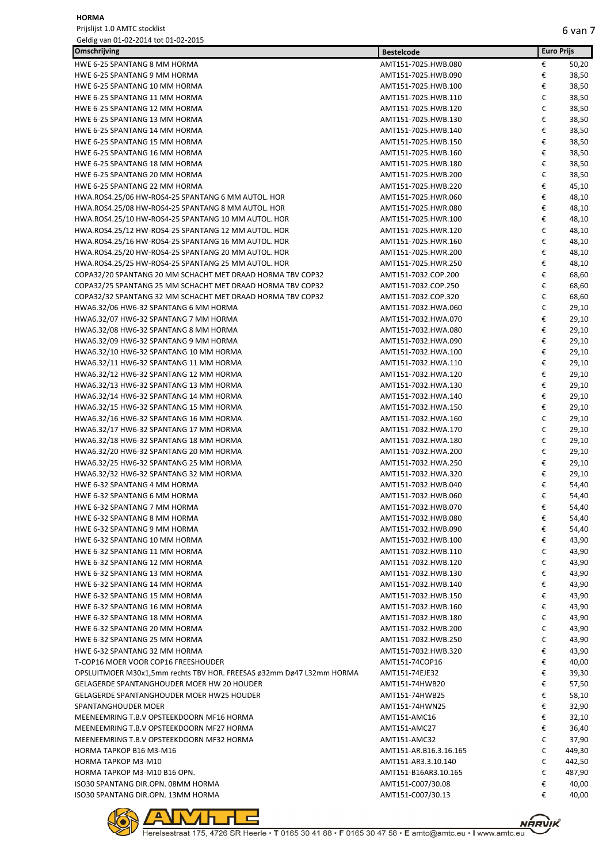| Omschrijving                                                                    | <b>Bestelcode</b>                          |        | <b>Euro Prijs</b> |
|---------------------------------------------------------------------------------|--------------------------------------------|--------|-------------------|
| HWE 6-25 SPANTANG 8 MM HORMA                                                    | AMT151-7025.HWB.080                        | €      | 50,20             |
| HWE 6-25 SPANTANG 9 MM HORMA                                                    | AMT151-7025.HWB.090                        | €      | 38,50             |
| HWE 6-25 SPANTANG 10 MM HORMA                                                   | AMT151-7025.HWB.100                        | €      | 38,50             |
| HWE 6-25 SPANTANG 11 MM HORMA                                                   | AMT151-7025.HWB.110                        | €      | 38,50             |
| HWE 6-25 SPANTANG 12 MM HORMA                                                   | AMT151-7025.HWB.120                        | €      | 38,50             |
| HWE 6-25 SPANTANG 13 MM HORMA                                                   | AMT151-7025.HWB.130                        | €      | 38,50             |
| HWE 6-25 SPANTANG 14 MM HORMA                                                   | AMT151-7025.HWB.140                        | €      | 38,50             |
| HWE 6-25 SPANTANG 15 MM HORMA                                                   | AMT151-7025.HWB.150                        | €      | 38,50             |
| HWE 6-25 SPANTANG 16 MM HORMA                                                   | AMT151-7025.HWB.160                        | €      | 38,50             |
| HWE 6-25 SPANTANG 18 MM HORMA                                                   | AMT151-7025.HWB.180                        | €      | 38,50             |
| HWE 6-25 SPANTANG 20 MM HORMA                                                   | AMT151-7025.HWB.200                        | €      | 38,50             |
| HWE 6-25 SPANTANG 22 MM HORMA                                                   | AMT151-7025.HWB.220                        | €      | 45,10             |
| HWA.ROS4.25/06 HW-ROS4-25 SPANTANG 6 MM AUTOL. HOR                              | AMT151-7025.HWR.060                        | €      | 48,10             |
| HWA.ROS4.25/08 HW-ROS4-25 SPANTANG 8 MM AUTOL. HOR                              | AMT151-7025.HWR.080                        | €      | 48,10             |
| HWA.ROS4.25/10 HW-ROS4-25 SPANTANG 10 MM AUTOL. HOR                             | AMT151-7025.HWR.100                        | €      | 48,10             |
| HWA.ROS4.25/12 HW-ROS4-25 SPANTANG 12 MM AUTOL. HOR                             | AMT151-7025.HWR.120                        | €      | 48,10             |
| HWA.ROS4.25/16 HW-ROS4-25 SPANTANG 16 MM AUTOL. HOR                             | AMT151-7025.HWR.160                        | €      | 48,10             |
| HWA.ROS4.25/20 HW-ROS4-25 SPANTANG 20 MM AUTOL. HOR                             | AMT151-7025.HWR.200                        | €      | 48,10             |
| HWA.ROS4.25/25 HW-ROS4-25 SPANTANG 25 MM AUTOL. HOR                             | AMT151-7025.HWR.250                        | €      | 48,10             |
| COPA32/20 SPANTANG 20 MM SCHACHT MET DRAAD HORMA TBV COP32                      | AMT151-7032.COP.200                        | €      | 68,60             |
| COPA32/25 SPANTANG 25 MM SCHACHT MET DRAAD HORMA TBV COP32                      | AMT151-7032.COP.250                        | €      | 68,60             |
| COPA32/32 SPANTANG 32 MM SCHACHT MET DRAAD HORMA TBV COP32                      | AMT151-7032.COP.320                        | €      | 68,60             |
| HWA6.32/06 HW6-32 SPANTANG 6 MM HORMA                                           | AMT151-7032.HWA.060                        | €      | 29,10             |
| HWA6.32/07 HW6-32 SPANTANG 7 MM HORMA                                           | AMT151-7032.HWA.070                        | €      | 29,10             |
| HWA6.32/08 HW6-32 SPANTANG 8 MM HORMA                                           | AMT151-7032.HWA.080                        | €<br>€ | 29,10             |
| HWA6.32/09 HW6-32 SPANTANG 9 MM HORMA<br>HWA6.32/10 HW6-32 SPANTANG 10 MM HORMA | AMT151-7032.HWA.090<br>AMT151-7032.HWA.100 | €      | 29,10<br>29,10    |
| HWA6.32/11 HW6-32 SPANTANG 11 MM HORMA                                          | AMT151-7032.HWA.110                        | €      | 29,10             |
| HWA6.32/12 HW6-32 SPANTANG 12 MM HORMA                                          | AMT151-7032.HWA.120                        | €      | 29,10             |
| HWA6.32/13 HW6-32 SPANTANG 13 MM HORMA                                          | AMT151-7032.HWA.130                        | €      | 29,10             |
| HWA6.32/14 HW6-32 SPANTANG 14 MM HORMA                                          | AMT151-7032.HWA.140                        | €      | 29,10             |
| HWA6.32/15 HW6-32 SPANTANG 15 MM HORMA                                          | AMT151-7032.HWA.150                        | €      | 29,10             |
| HWA6.32/16 HW6-32 SPANTANG 16 MM HORMA                                          | AMT151-7032.HWA.160                        | €      | 29,10             |
| HWA6.32/17 HW6-32 SPANTANG 17 MM HORMA                                          | AMT151-7032.HWA.170                        | €      | 29,10             |
| HWA6.32/18 HW6-32 SPANTANG 18 MM HORMA                                          | AMT151-7032.HWA.180                        | €      | 29,10             |
| HWA6.32/20 HW6-32 SPANTANG 20 MM HORMA                                          | AMT151-7032.HWA.200                        | €      | 29,10             |
| HWA6.32/25 HW6-32 SPANTANG 25 MM HORMA                                          | AMT151-7032.HWA.250                        | €      | 29,10             |
| HWA6.32/32 HW6-32 SPANTANG 32 MM HORMA                                          | AMT151-7032.HWA.320                        | €      | 29,10             |
| HWE 6-32 SPANTANG 4 MM HORMA                                                    | AMT151-7032.HWB.040                        | €      | 54,40             |
| HWE 6-32 SPANTANG 6 MM HORMA                                                    | AMT151-7032.HWB.060                        | €      | 54,40             |
| HWE 6-32 SPANTANG 7 MM HORMA                                                    | AMT151-7032.HWB.070                        | €      | 54,40             |
| HWE 6-32 SPANTANG 8 MM HORMA                                                    | AMT151-7032.HWB.080                        | €      | 54,40             |
| HWE 6-32 SPANTANG 9 MM HORMA                                                    | AMT151-7032.HWB.090                        | €      | 54,40             |
| HWE 6-32 SPANTANG 10 MM HORMA                                                   | AMT151-7032.HWB.100                        | €      | 43,90             |
| HWE 6-32 SPANTANG 11 MM HORMA                                                   | AMT151-7032.HWB.110                        | €      | 43,90             |
| HWE 6-32 SPANTANG 12 MM HORMA                                                   | AMT151-7032.HWB.120                        | €      | 43,90             |
| HWE 6-32 SPANTANG 13 MM HORMA                                                   | AMT151-7032.HWB.130                        | €      | 43,90             |
| HWE 6-32 SPANTANG 14 MM HORMA                                                   | AMT151-7032.HWB.140                        | €      | 43,90             |
| HWE 6-32 SPANTANG 15 MM HORMA                                                   | AMT151-7032.HWB.150                        | €      | 43,90             |
| HWE 6-32 SPANTANG 16 MM HORMA                                                   | AMT151-7032.HWB.160                        | €      | 43,90             |
| HWE 6-32 SPANTANG 18 MM HORMA                                                   | AMT151-7032.HWB.180                        | €      | 43,90             |
| HWE 6-32 SPANTANG 20 MM HORMA                                                   | AMT151-7032.HWB.200                        | €      | 43,90             |
| HWE 6-32 SPANTANG 25 MM HORMA                                                   | AMT151-7032.HWB.250                        | €      | 43,90             |
| HWE 6-32 SPANTANG 32 MM HORMA                                                   | AMT151-7032.HWB.320                        | €      | 43,90             |
| T-COP16 MOER VOOR COP16 FREESHOUDER                                             | AMT151-74COP16                             | €      | 40,00             |
| OPSLUITMOER M30x1,5mm rechts TBV HOR. FREESAS ø32mm Dø47 L32mm HORMA            | AMT151-74EJE32                             | €      | 39,30             |
| GELAGERDE SPANTANGHOUDER MOER HW 20 HOUDER                                      | AMT151-74HWB20                             | €      | 57,50             |
| <b>GELAGERDE SPANTANGHOUDER MOER HW25 HOUDER</b>                                | AMT151-74HWB25                             | €      | 58,10             |
| SPANTANGHOUDER MOER                                                             | AMT151-74HWN25                             | €      | 32,90             |
| MEENEEMRING T.B.V OPSTEEKDOORN MF16 HORMA                                       | AMT151-AMC16                               | €      | 32,10             |
| MEENEEMRING T.B.V OPSTEEKDOORN MF27 HORMA                                       | AMT151-AMC27                               | €      | 36,40             |
| MEENEEMRING T.B.V OPSTEEKDOORN MF32 HORMA                                       | AMT151-AMC32                               | €      | 37,90             |
| HORMA TAPKOP B16 M3-M16                                                         | AMT151-AR.B16.3.16.165                     | €      | 449,30            |
| HORMA TAPKOP M3-M10                                                             | AMT151-AR3.3.10.140                        | €      | 442,50            |
| HORMA TAPKOP M3-M10 B16 OPN.                                                    | AMT151-B16AR3.10.165                       | €      | 487,90            |
| ISO30 SPANTANG DIR.OPN. 08MM HORMA                                              | AMT151-C007/30.08                          | €<br>€ | 40,00             |
| ISO30 SPANTANG DIR.OPN. 13MM HORMA                                              | AMT151-C007/30.13                          |        | 40,00             |